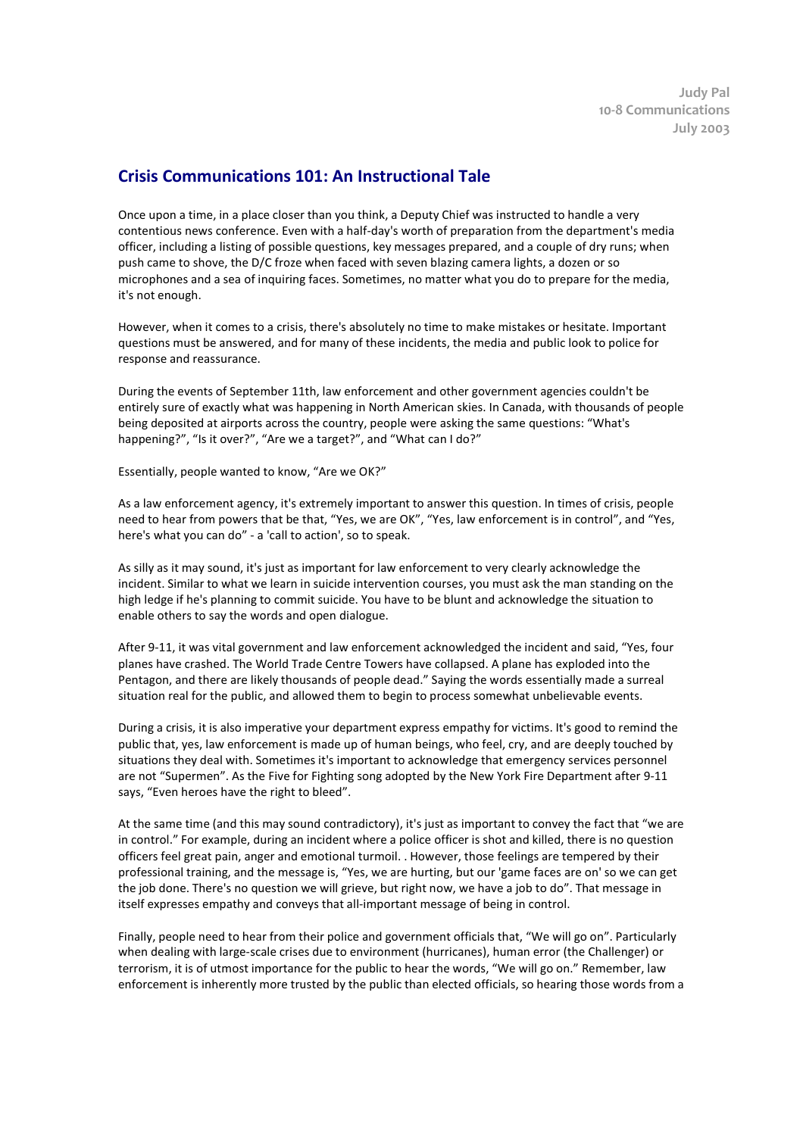## **Crisis Communications 101: An Instructional Tale**

Once upon a time, in a place closer than you think, a Deputy Chief was instructed to handle a very contentious news conference. Even with a half-day's worth of preparation from the department's media officer, including a listing of possible questions, key messages prepared, and a couple of dry runs; when push came to shove, the D/C froze when faced with seven blazing camera lights, a dozen or so microphones and a sea of inquiring faces. Sometimes, no matter what you do to prepare for the media, it's not enough.

However, when it comes to a crisis, there's absolutely no time to make mistakes or hesitate. Important questions must be answered, and for many of these incidents, the media and public look to police for response and reassurance.

During the events of September 11th, law enforcement and other government agencies couldn't be entirely sure of exactly what was happening in North American skies. In Canada, with thousands of people being deposited at airports across the country, people were asking the same questions: "What's happening?", "Is it over?", "Are we a target?", and "What can I do?"

Essentially, people wanted to know, "Are we OK?"

As a law enforcement agency, it's extremely important to answer this question. In times of crisis, people need to hear from powers that be that, "Yes, we are OK", "Yes, law enforcement is in control", and "Yes, here's what you can do" - a 'call to action', so to speak.

As silly as it may sound, it's just as important for law enforcement to very clearly acknowledge the incident. Similar to what we learn in suicide intervention courses, you must ask the man standing on the high ledge if he's planning to commit suicide. You have to be blunt and acknowledge the situation to enable others to say the words and open dialogue.

After 9-11, it was vital government and law enforcement acknowledged the incident and said, "Yes, four planes have crashed. The World Trade Centre Towers have collapsed. A plane has exploded into the Pentagon, and there are likely thousands of people dead." Saying the words essentially made a surreal situation real for the public, and allowed them to begin to process somewhat unbelievable events.

During a crisis, it is also imperative your department express empathy for victims. It's good to remind the public that, yes, law enforcement is made up of human beings, who feel, cry, and are deeply touched by situations they deal with. Sometimes it's important to acknowledge that emergency services personnel are not "Supermen". As the Five for Fighting song adopted by the New York Fire Department after 9-11 says, "Even heroes have the right to bleed".

At the same time (and this may sound contradictory), it's just as important to convey the fact that "we are in control." For example, during an incident where a police officer is shot and killed, there is no question officers feel great pain, anger and emotional turmoil. . However, those feelings are tempered by their professional training, and the message is, "Yes, we are hurting, but our 'game faces are on' so we can get the job done. There's no question we will grieve, but right now, we have a job to do". That message in itself expresses empathy and conveys that all-important message of being in control.

Finally, people need to hear from their police and government officials that, "We will go on". Particularly when dealing with large-scale crises due to environment (hurricanes), human error (the Challenger) or terrorism, it is of utmost importance for the public to hear the words, "We will go on." Remember, law enforcement is inherently more trusted by the public than elected officials, so hearing those words from a